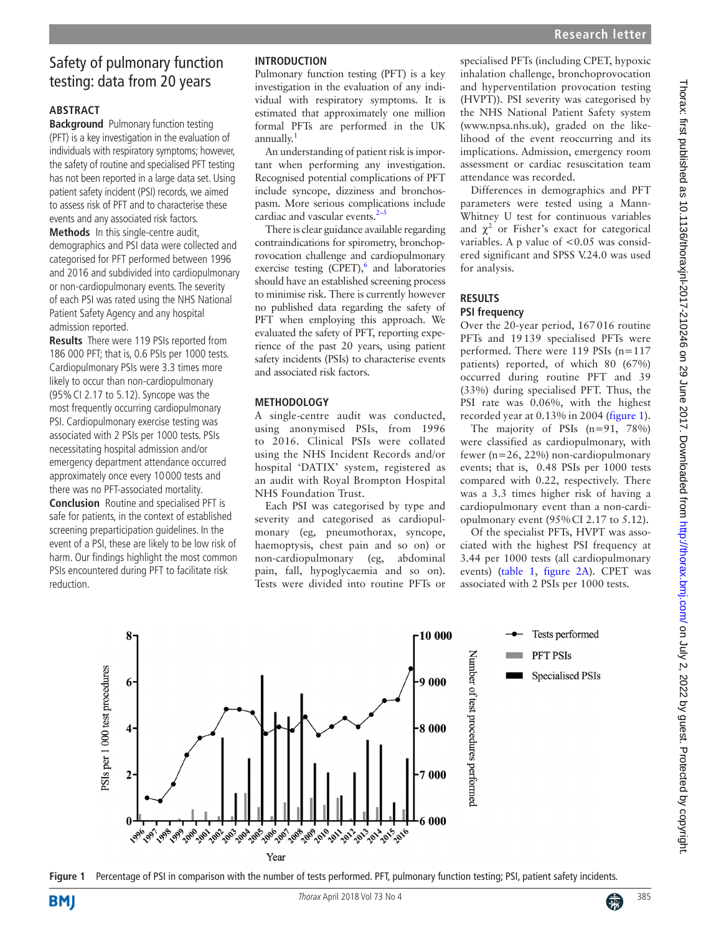# Safety of pulmonary function testing: data from 20 years

## **Abstract**

**Background** Pulmonary function testing (PFT) is a key investigation in the evaluation of individuals with respiratory symptoms; however, the safety of routine and specialised PFT testing has not been reported in a large data set. Using patient safety incident (PSI) records, we aimed to assess risk of PFT and to characterise these events and any associated risk factors.

**Methods** In this single-centre audit, demographics and PSI data were collected and categorised for PFT performed between 1996 and 2016 and subdivided into cardiopulmonary or non-cardiopulmonary events. The severity of each PSI was rated using the NHS National Patient Safety Agency and any hospital admission reported.

**Results** There were 119 PSIs reported from 186 000 PFT; that is, 0.6 PSIs per 1000 tests. Cardiopulmonary PSIs were 3.3 times more likely to occur than non-cardiopulmonary (95%CI 2.17 to 5.12). Syncope was the most frequently occurring cardiopulmonary PSI. Cardiopulmonary exercise testing was associated with 2 PSIs per 1000 tests. PSIs necessitating hospital admission and/or emergency department attendance occurred approximately once every 10000 tests and there was no PFT-associated mortality.

**Conclusion** Routine and specialised PFT is safe for patients, in the context of established screening preparticipation guidelines. In the event of a PSI, these are likely to be low risk of harm. Our findings highlight the most common PSIs encountered during PFT to facilitate risk reduction.

## **Introduction**

Pulmonary function testing (PFT) is a key investigation in the evaluation of any individual with respiratory symptoms. It is estimated that approximately one million formal PFTs are performed in the UK annually.<sup>[1](#page-2-0)</sup>

An understanding of patient risk is important when performing any investigation. Recognised potential complications of PFT include syncope, dizziness and bronchospasm. More serious complications include cardiac and vascular events. $2-5$ 

There is clear guidance available regarding contraindications for spirometry, bronchoprovocation challenge and cardiopulmonary exercise testing  $(CPET)$ , and laboratories should have an established screening process to minimise risk. There is currently however no published data regarding the safety of PFT when employing this approach. We evaluated the safety of PFT, reporting experience of the past 20 years, using patient safety incidents (PSIs) to characterise events and associated risk factors.

### **Methodology**

A single-centre audit was conducted, using anonymised PSIs, from 1996 to 2016. Clinical PSIs were collated using the NHS Incident Records and/or hospital 'DATIX' system, registered as an audit with Royal Brompton Hospital NHS Foundation Trust.

Each PSI was categorised by type and severity and categorised as cardiopulmonary (eg, pneumothorax, syncope, haemoptysis, chest pain and so on) or non-cardiopulmonary (eg, abdominal pain, fall, hypoglycaemia and so on). Tests were divided into routine PFTs or specialised PFTs (including CPET, hypoxic inhalation challenge, bronchoprovocation and hyperventilation provocation testing (HVPT)). PSI severity was categorised by the NHS National Patient Safety system [\(www.npsa.nhs.uk\)](www.npsa.nhs.uk), graded on the likelihood of the event reoccurring and its implications. Admission, emergency room assessment or cardiac resuscitation team attendance was recorded.

Differences in demographics and PFT parameters were tested using a Mann-Whitney U test for continuous variables and  $\chi^2$  or Fisher's exact for categorical variables. A p value of  $< 0.05$  was considered significant and SPSS V.24.0 was used for analysis.

## **Results PSI frequency**

Over the 20-year period, 167016 routine PFTs and 19139 specialised PFTs were performed. There were 119 PSIs (n=117 patients) reported, of which 80 (67%) occurred during routine PFT and 39 (33%) during specialised PFT. Thus, the PSI rate was 0.06%, with the highest recorded year at 0.13% in 2004 ([figure](#page-0-0) 1).

The majority of PSIs (n=91, 78%) were classified as cardiopulmonary, with fewer (n=26, 22%) non-cardiopulmonary events; that is, 0.48 PSIs per 1000 tests compared with 0.22, respectively. There was a 3.3 times higher risk of having a cardiopulmonary event than a non-cardiopulmonary event (95%CI 2.17 to 5.12).

Of the specialist PFTs, HVPT was associated with the highest PSI frequency at 3.44 per 1000 tests (all cardiopulmonary events) [\(table](#page-1-0) 1, [figure](#page-1-1) 2A). CPET was associated with 2 PSIs per 1000 tests.

<span id="page-0-0"></span>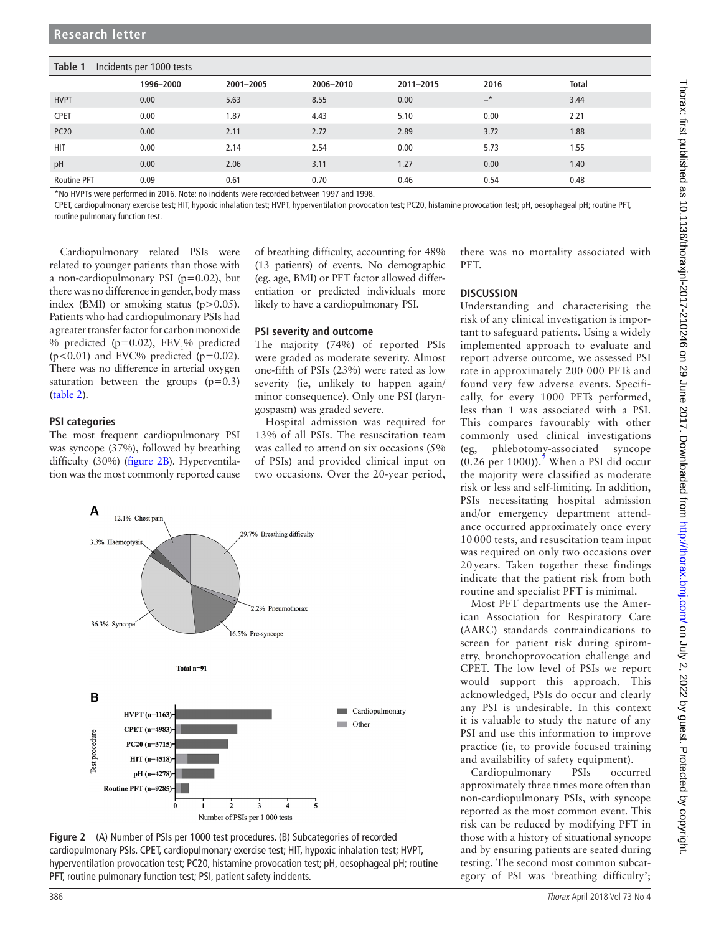#### <span id="page-1-0"></span>**Table 1** Incidents per 1000 tests

|                    | 1996-2000 | 2001-2005 | 2006-2010 | 2011-2015 | 2016  | <b>Total</b> |
|--------------------|-----------|-----------|-----------|-----------|-------|--------------|
| <b>HVPT</b>        | 0.00      | 5.63      | 8.55      | 0.00      | $-$ * | 3.44         |
| <b>CPET</b>        | 0.00      | 1.87      | 4.43      | 5.10      | 0.00  | 2.21         |
| <b>PC20</b>        | 0.00      | 2.11      | 2.72      | 2.89      | 3.72  | 1.88         |
| <b>HIT</b>         | 0.00      | 2.14      | 2.54      | 0.00      | 5.73  | 1.55         |
| pH                 | 0.00      | 2.06      | 3.11      | 1.27      | 0.00  | 1.40         |
| <b>Routine PFT</b> | 0.09      | 0.61      | 0.70      | 0.46      | 0.54  | 0.48         |

\*No HVPTs were performed in 2016. Note: no incidents were recorded between 1997 and 1998.

CPET, cardiopulmonary exercise test; HIT, hypoxic inhalation test; HVPT, hyperventilation provocation test; PC20, histamine provocation test; pH, oesophageal pH; routine PFT, routine pulmonary function test.

Cardiopulmonary related PSIs were related to younger patients than those with a non-cardiopulmonary PSI ( $p=0.02$ ), but there was no difference in gender, body mass index (BMI) or smoking status (p>0.05). Patients who had cardiopulmonary PSIs had a greater transfer factor for carbon monoxide % predicted ( $p=0.02$ ),  $FEV<sub>1</sub>%$  predicted  $(p<0.01)$  and FVC% predicted  $(p=0.02)$ . There was no difference in arterial oxygen saturation between the groups  $(p=0.3)$ ([table](#page-2-3) 2).

#### **PSI categories**

The most frequent cardiopulmonary PSI was syncope (37%), followed by breathing difficulty (30%) [\(figure](#page-1-1) 2B). Hyperventilation was the most commonly reported cause of breathing difficulty, accounting for 48% (13 patients) of events. No demographic (eg, age, BMI) or PFT factor allowed differentiation or predicted individuals more likely to have a cardiopulmonary PSI.

#### **PSI severity and outcome**

The majority (74%) of reported PSIs were graded as moderate severity. Almost one-fifth of PSIs (23%) were rated as low severity (ie, unlikely to happen again/ minor consequence). Only one PSI (laryngospasm) was graded severe.

Hospital admission was required for 13% of all PSIs. The resuscitation team was called to attend on six occasions (5% of PSIs) and provided clinical input on two occasions. Over the 20-year period,



<span id="page-1-1"></span>

there was no mortality associated with PFT.

#### **Discussion**

Understanding and characterising the risk of any clinical investigation is important to safeguard patients. Using a widely implemented approach to evaluate and report adverse outcome, we assessed PSI rate in approximately 200 000 PFTs and found very few adverse events. Specifically, for every 1000 PFTs performed, less than 1 was associated with a PSI. This compares favourably with other commonly used clinical investigations (eg, phlebotomy-associated syncope  $(0.26$  per 1000)).<sup>[7](#page-2-4)</sup> When a PSI did occur the majority were classified as moderate risk or less and self-limiting. In addition, PSIs necessitating hospital admission and/or emergency department attendance occurred approximately once every 10 000 tests, and resuscitation team input was required on only two occasions over 20 years. Taken together these findings indicate that the patient risk from both routine and specialist PFT is minimal.

Most PFT departments use the American Association for Respiratory Care (AARC) standards contraindications to screen for patient risk during spirometry, bronchoprovocation challenge and CPET. The low level of PSIs we report would support this approach. This acknowledged, PSIs do occur and clearly any PSI is undesirable. In this context it is valuable to study the nature of any PSI and use this information to improve practice (ie, to provide focused training and availability of safety equipment).

Cardiopulmonary PSIs occurred approximately three times more often than non-cardiopulmonary PSIs, with syncope reported as the most common event. This risk can be reduced by modifying PFT in those with a history of situational syncope and by ensuring patients are seated during testing. The second most common subcategory of PSI was 'breathing difficulty';